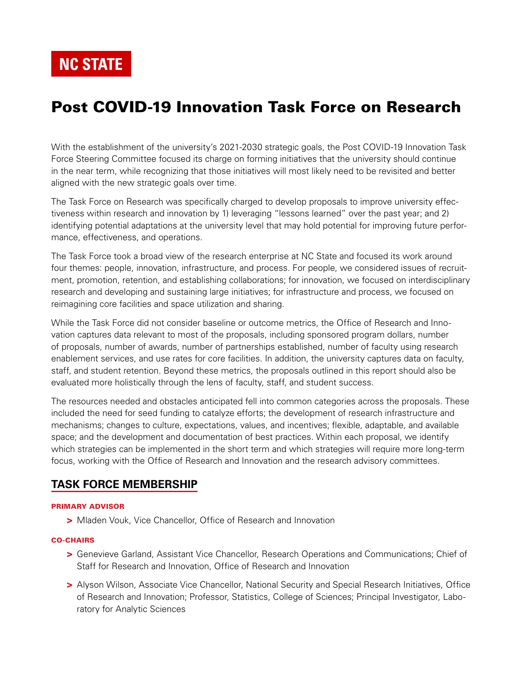**NC STATE** 

# Post COVID-19 Innovation Task Force on Research

With the establishment of the university's 2021-2030 strategic goals, the Post COVID-19 Innovation Task Force Steering Committee focused its charge on forming initiatives that the university should continue in the near term, while recognizing that those initiatives will most likely need to be revisited and better aligned with the new strategic goals over time.

The Task Force on Research was specifically charged to develop proposals to improve university effectiveness within research and innovation by 1) leveraging "lessons learned" over the past year; and 2) identifying potential adaptations at the university level that may hold potential for improving future performance, effectiveness, and operations.

The Task Force took a broad view of the research enterprise at NC State and focused its work around four themes: people, innovation, infrastructure, and process. For people, we considered issues of recruitment, promotion, retention, and establishing collaborations; for innovation, we focused on interdisciplinary research and developing and sustaining large initiatives; for infrastructure and process, we focused on reimagining core facilities and space utilization and sharing.

While the Task Force did not consider baseline or outcome metrics, the Office of Research and Innovation captures data relevant to most of the proposals, including sponsored program dollars, number of proposals, number of awards, number of partnerships established, number of faculty using research enablement services, and use rates for core facilities. In addition, the university captures data on faculty, staff, and student retention. Beyond these metrics, the proposals outlined in this report should also be evaluated more holistically through the lens of faculty, staff, and student success.

The resources needed and obstacles anticipated fell into common categories across the proposals. These included the need for seed funding to catalyze efforts; the development of research infrastructure and mechanisms; changes to culture, expectations, values, and incentives; flexible, adaptable, and available space; and the development and documentation of best practices. Within each proposal, we identify which strategies can be implemented in the short term and which strategies will require more long-term focus, working with the Office of Research and Innovation and the research advisory committees.

## **TASK FORCE MEMBERSHIP**

#### PRIMARY ADVISOR

> Mladen Vouk, Vice Chancellor, Office of Research and Innovation

#### CO-CHAIRS

- > Genevieve Garland, Assistant Vice Chancellor, Research Operations and Communications; Chief of Staff for Research and Innovation, Office of Research and Innovation
- > Alyson Wilson, Associate Vice Chancellor, National Security and Special Research Initiatives, Office of Research and Innovation; Professor, Statistics, College of Sciences; Principal Investigator, Laboratory for Analytic Sciences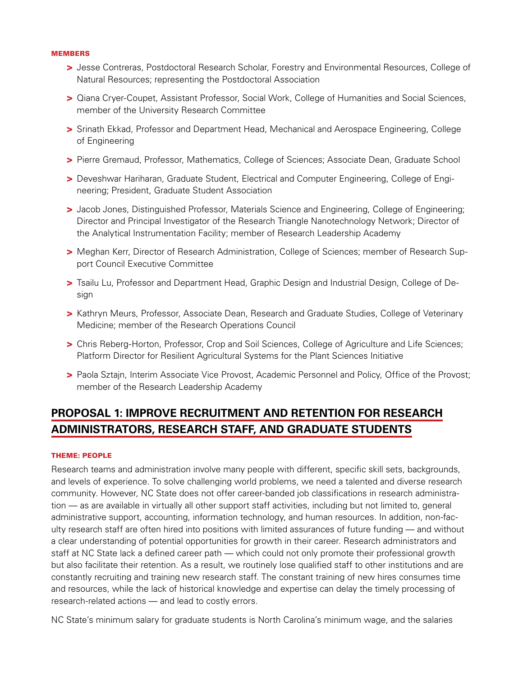#### MEMBERS

- > Jesse Contreras, Postdoctoral Research Scholar, Forestry and Environmental Resources, College of Natural Resources; representing the Postdoctoral Association
- > Qiana Cryer-Coupet, Assistant Professor, Social Work, College of Humanities and Social Sciences, member of the University Research Committee
- > Srinath Ekkad, Professor and Department Head, Mechanical and Aerospace Engineering, College of Engineering
- > Pierre Gremaud, Professor, Mathematics, College of Sciences; Associate Dean, Graduate School
- > Deveshwar Hariharan, Graduate Student, Electrical and Computer Engineering, College of Engineering; President, Graduate Student Association
- > Jacob Jones, Distinguished Professor, Materials Science and Engineering, College of Engineering; Director and Principal Investigator of the Research Triangle Nanotechnology Network; Director of the Analytical Instrumentation Facility; member of Research Leadership Academy
- > Meghan Kerr, Director of Research Administration, College of Sciences; member of Research Support Council Executive Committee
- > Tsailu Lu, Professor and Department Head, Graphic Design and Industrial Design, College of Design
- > Kathryn Meurs, Professor, Associate Dean, Research and Graduate Studies, College of Veterinary Medicine; member of the Research Operations Council
- > Chris Reberg-Horton, Professor, Crop and Soil Sciences, College of Agriculture and Life Sciences; Platform Director for Resilient Agricultural Systems for the Plant Sciences Initiative
- > Paola Sztajn, Interim Associate Vice Provost, Academic Personnel and Policy, Office of the Provost; member of the Research Leadership Academy

# **PROPOSAL 1: IMPROVE RECRUITMENT AND RETENTION FOR RESEARCH ADMINISTRATORS, RESEARCH STAFF, AND GRADUATE STUDENTS**

#### THEME: PEOPLE

Research teams and administration involve many people with different, specific skill sets, backgrounds, and levels of experience. To solve challenging world problems, we need a talented and diverse research community. However, NC State does not offer career-banded job classifications in research administration — as are available in virtually all other support staff activities, including but not limited to, general administrative support, accounting, information technology, and human resources. In addition, non-faculty research staff are often hired into positions with limited assurances of future funding — and without a clear understanding of potential opportunities for growth in their career. Research administrators and staff at NC State lack a defined career path — which could not only promote their professional growth but also facilitate their retention. As a result, we routinely lose qualified staff to other institutions and are constantly recruiting and training new research staff. The constant training of new hires consumes time and resources, while the lack of historical knowledge and expertise can delay the timely processing of research-related actions — and lead to costly errors.

NC State's minimum salary for graduate students is North Carolina's minimum wage, and the salaries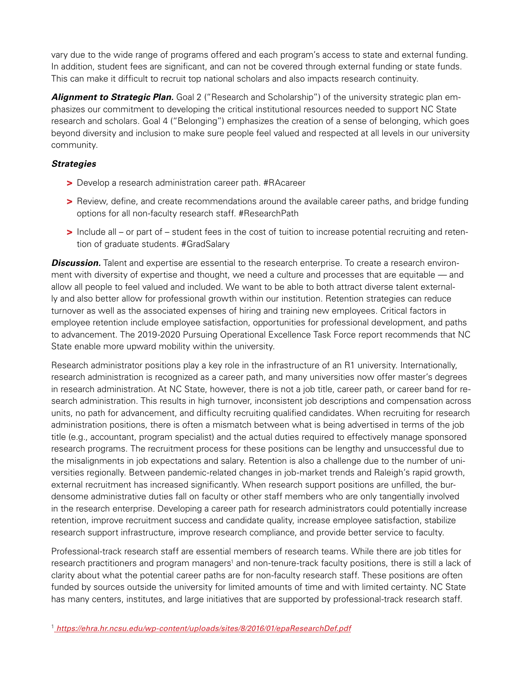vary due to the wide range of programs offered and each program's access to state and external funding. In addition, student fees are significant, and can not be covered through external funding or state funds. This can make it difficult to recruit top national scholars and also impacts research continuity.

Alignment to Strategic Plan. Goal 2 ("Research and Scholarship") of the university strategic plan emphasizes our commitment to developing the critical institutional resources needed to support NC State research and scholars. Goal 4 ("Belonging") emphasizes the creation of a sense of belonging, which goes beyond diversity and inclusion to make sure people feel valued and respected at all levels in our university community.

## *Strategies*

- > Develop a research administration career path. #RAcareer
- > Review, define, and create recommendations around the available career paths, and bridge funding options for all non-faculty research staff. #ResearchPath
- > Include all or part of student fees in the cost of tuition to increase potential recruiting and retention of graduate students. #GradSalary

**Discussion.** Talent and expertise are essential to the research enterprise. To create a research environment with diversity of expertise and thought, we need a culture and processes that are equitable — and allow all people to feel valued and included. We want to be able to both attract diverse talent externally and also better allow for professional growth within our institution. Retention strategies can reduce turnover as well as the associated expenses of hiring and training new employees. Critical factors in employee retention include employee satisfaction, opportunities for professional development, and paths to advancement. The 2019-2020 Pursuing Operational Excellence Task Force report recommends that NC State enable more upward mobility within the university.

Research administrator positions play a key role in the infrastructure of an R1 university. Internationally, research administration is recognized as a career path, and many universities now offer master's degrees in research administration. At NC State, however, there is not a job title, career path, or career band for research administration. This results in high turnover, inconsistent job descriptions and compensation across units, no path for advancement, and difficulty recruiting qualified candidates. When recruiting for research administration positions, there is often a mismatch between what is being advertised in terms of the job title (e.g., accountant, program specialist) and the actual duties required to effectively manage sponsored research programs. The recruitment process for these positions can be lengthy and unsuccessful due to the misalignments in job expectations and salary. Retention is also a challenge due to the number of universities regionally. Between pandemic-related changes in job-market trends and Raleigh's rapid growth, external recruitment has increased significantly. When research support positions are unfilled, the burdensome administrative duties fall on faculty or other staff members who are only tangentially involved in the research enterprise. Developing a career path for research administrators could potentially increase retention, improve recruitment success and candidate quality, increase employee satisfaction, stabilize research support infrastructure, improve research compliance, and provide better service to faculty.

Professional-track research staff are essential members of research teams. While there are job titles for research practitioners and program managers<sup>1</sup> and non-tenure-track faculty positions, there is still a lack of clarity about what the potential career paths are for non-faculty research staff. These positions are often funded by sources outside the university for limited amounts of time and with limited certainty. NC State has many centers, institutes, and large initiatives that are supported by professional-track research staff.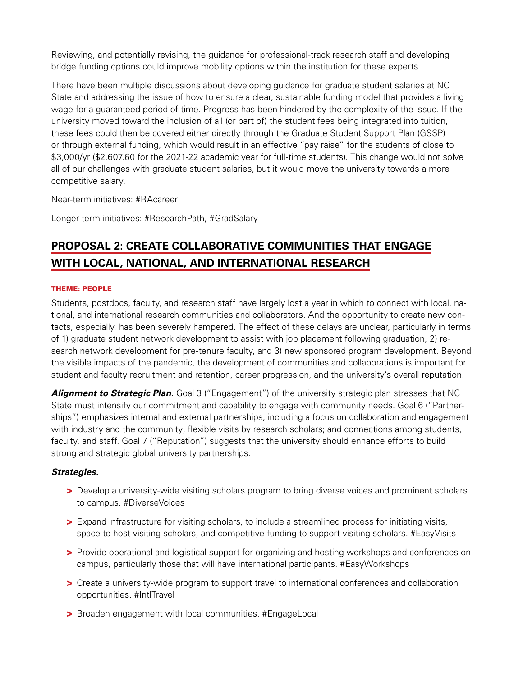Reviewing, and potentially revising, the guidance for professional-track research staff and developing bridge funding options could improve mobility options within the institution for these experts.

There have been multiple discussions about developing guidance for graduate student salaries at NC State and addressing the issue of how to ensure a clear, sustainable funding model that provides a living wage for a guaranteed period of time. Progress has been hindered by the complexity of the issue. If the university moved toward the inclusion of all (or part of) the student fees being integrated into tuition, these fees could then be covered either directly through the Graduate Student Support Plan (GSSP) or through external funding, which would result in an effective "pay raise" for the students of close to \$3,000/yr (\$2,607.60 for the 2021-22 academic year for full-time students). This change would not solve all of our challenges with graduate student salaries, but it would move the university towards a more competitive salary.

Near-term initiatives: #RAcareer

Longer-term initiatives: #ResearchPath, #GradSalary

# **PROPOSAL 2: CREATE COLLABORATIVE COMMUNITIES THAT ENGAGE WITH LOCAL, NATIONAL, AND INTERNATIONAL RESEARCH**

#### THEME: PEOPLE

Students, postdocs, faculty, and research staff have largely lost a year in which to connect with local, national, and international research communities and collaborators. And the opportunity to create new contacts, especially, has been severely hampered. The effect of these delays are unclear, particularly in terms of 1) graduate student network development to assist with job placement following graduation, 2) research network development for pre-tenure faculty, and 3) new sponsored program development. Beyond the visible impacts of the pandemic, the development of communities and collaborations is important for student and faculty recruitment and retention, career progression, and the university's overall reputation.

**Alignment to Strategic Plan.** Goal 3 ("Engagement") of the university strategic plan stresses that NC State must intensify our commitment and capability to engage with community needs. Goal 6 ("Partnerships") emphasizes internal and external partnerships, including a focus on collaboration and engagement with industry and the community; flexible visits by research scholars; and connections among students, faculty, and staff. Goal 7 ("Reputation") suggests that the university should enhance efforts to build strong and strategic global university partnerships.

#### *Strategies.*

- > Develop a university-wide visiting scholars program to bring diverse voices and prominent scholars to campus. #DiverseVoices
- > Expand infrastructure for visiting scholars, to include a streamlined process for initiating visits, space to host visiting scholars, and competitive funding to support visiting scholars. #EasyVisits
- > Provide operational and logistical support for organizing and hosting workshops and conferences on campus, particularly those that will have international participants. #EasyWorkshops
- > Create a university-wide program to support travel to international conferences and collaboration opportunities. #IntlTravel
- > Broaden engagement with local communities. #EngageLocal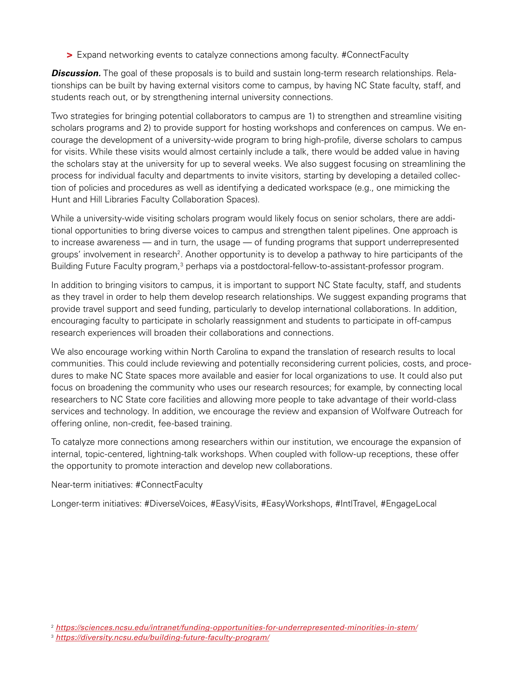> Expand networking events to catalyze connections among faculty. #ConnectFaculty

**Discussion.** The goal of these proposals is to build and sustain long-term research relationships. Relationships can be built by having external visitors come to campus, by having NC State faculty, staff, and students reach out, or by strengthening internal university connections.

Two strategies for bringing potential collaborators to campus are 1) to strengthen and streamline visiting scholars programs and 2) to provide support for hosting workshops and conferences on campus. We encourage the development of a university-wide program to bring high-profile, diverse scholars to campus for visits. While these visits would almost certainly include a talk, there would be added value in having the scholars stay at the university for up to several weeks. We also suggest focusing on streamlining the process for individual faculty and departments to invite visitors, starting by developing a detailed collection of policies and procedures as well as identifying a dedicated workspace (e.g., one mimicking the Hunt and Hill Libraries Faculty Collaboration Spaces).

While a university-wide visiting scholars program would likely focus on senior scholars, there are additional opportunities to bring diverse voices to campus and strengthen talent pipelines. One approach is to increase awareness — and in turn, the usage — of funding programs that support underrepresented groups' involvement in research<sup>2</sup>. Another opportunity is to develop a pathway to hire participants of the Building Future Faculty program,<sup>3</sup> perhaps via a postdoctoral-fellow-to-assistant-professor program.

In addition to bringing visitors to campus, it is important to support NC State faculty, staff, and students as they travel in order to help them develop research relationships. We suggest expanding programs that provide travel support and seed funding, particularly to develop international collaborations. In addition, encouraging faculty to participate in scholarly reassignment and students to participate in off-campus research experiences will broaden their collaborations and connections.

We also encourage working within North Carolina to expand the translation of research results to local communities. This could include reviewing and potentially reconsidering current policies, costs, and procedures to make NC State spaces more available and easier for local organizations to use. It could also put focus on broadening the community who uses our research resources; for example, by connecting local researchers to NC State core facilities and allowing more people to take advantage of their world-class services and technology. In addition, we encourage the review and expansion of Wolfware Outreach for offering online, non-credit, fee-based training.

To catalyze more connections among researchers within our institution, we encourage the expansion of internal, topic-centered, lightning-talk workshops. When coupled with follow-up receptions, these offer the opportunity to promote interaction and develop new collaborations.

## Near-term initiatives: #ConnectFaculty

Longer-term initiatives: #DiverseVoices, #EasyVisits, #EasyWorkshops, #IntlTravel, #EngageLocal

<sup>2</sup> *[https://sciences.ncsu.edu/intranet/funding-opportunities-for-underrepresented-minorities-in-stem/](https://sciences.ncsu.edu/intranet/funding-opportunities-for-underrepresented-minorities-in-stem/ )*

<sup>3</sup> *<https://diversity.ncsu.edu/building-future-faculty-program/>*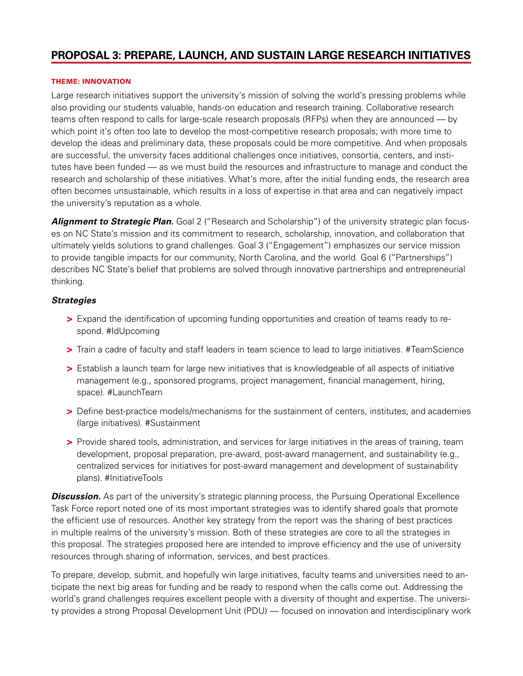## **PROPOSAL 3: PREPARE, LAUNCH, AND SUSTAIN LARGE RESEARCH INITIATIVES**

#### THEME: INNOVATION

Large research initiatives support the university's mission of solving the world's pressing problems while also providing our students valuable, hands-on education and research training. Collaborative research teams often respond to calls for large-scale research proposals (RFPs) when they are announced — by which point it's often too late to develop the most-competitive research proposals; with more time to develop the ideas and preliminary data, these proposals could be more competitive. And when proposals are successful, the university faces additional challenges once initiatives, consortia, centers, and institutes have been funded — as we must build the resources and infrastructure to manage and conduct the research and scholarship of these initiatives. What's more, after the initial funding ends, the research area often becomes unsustainable, which results in a loss of expertise in that area and can negatively impact the university's reputation as a whole.

**Alignment to Strategic Plan.** Goal 2 ("Research and Scholarship") of the university strategic plan focuses on NC State's mission and its commitment to research, scholarship, innovation, and collaboration that ultimately yields solutions to grand challenges. Goal 3 ("Engagement") emphasizes our service mission to provide tangible impacts for our community, North Carolina, and the world. Goal 6 ("Partnerships") describes NC State's belief that problems are solved through innovative partnerships and entrepreneurial thinking.

### *Strategies*

- > Expand the identification of upcoming funding opportunities and creation of teams ready to respond. #IdUpcoming
- > Train a cadre of faculty and staff leaders in team science to lead to large initiatives. #TeamScience
- > Establish a launch team for large new initiatives that is knowledgeable of all aspects of initiative management (e.g., sponsored programs, project management, financial management, hiring, space). #LaunchTeam
- > Define best-practice models/mechanisms for the sustainment of centers, institutes, and academies (large initiatives). #Sustainment
- > Provide shared tools, administration, and services for large initiatives in the areas of training, team development, proposal preparation, pre-award, post-award management, and sustainability (e.g., centralized services for initiatives for post-award management and development of sustainability plans). #InitiativeTools

**Discussion.** As part of the university's strategic planning process, the Pursuing Operational Excellence Task Force report noted one of its most important strategies was to identify shared goals that promote the efficient use of resources. Another key strategy from the report was the sharing of best practices in multiple realms of the university's mission. Both of these strategies are core to all the strategies in this proposal. The strategies proposed here are intended to improve efficiency and the use of university resources through sharing of information, services, and best practices.

To prepare, develop, submit, and hopefully win large initiatives, faculty teams and universities need to anticipate the next big areas for funding and be ready to respond when the calls come out. Addressing the world's grand challenges requires excellent people with a diversity of thought and expertise. The university provides a strong Proposal Development Unit (PDU) — focused on innovation and interdisciplinary work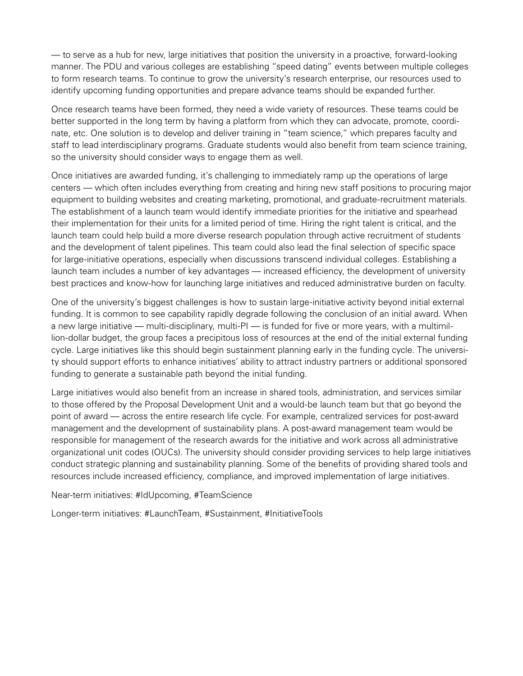— to serve as a hub for new, large initiatives that position the university in a proactive, forward-looking manner. The PDU and various colleges are establishing "speed dating" events between multiple colleges to form research teams. To continue to grow the university's research enterprise, our resources used to identify upcoming funding opportunities and prepare advance teams should be expanded further.

Once research teams have been formed, they need a wide variety of resources. These teams could be better supported in the long term by having a platform from which they can advocate, promote, coordinate, etc. One solution is to develop and deliver training in "team science," which prepares faculty and staff to lead interdisciplinary programs. Graduate students would also benefit from team science training, so the university should consider ways to engage them as well.

Once initiatives are awarded funding, it's challenging to immediately ramp up the operations of large centers — which often includes everything from creating and hiring new staff positions to procuring major equipment to building websites and creating marketing, promotional, and graduate-recruitment materials. The establishment of a launch team would identify immediate priorities for the initiative and spearhead their implementation for their units for a limited period of time. Hiring the right talent is critical, and the launch team could help build a more diverse research population through active recruitment of students and the development of talent pipelines. This team could also lead the final selection of specific space for large-initiative operations, especially when discussions transcend individual colleges. Establishing a launch team includes a number of key advantages — increased efficiency, the development of university best practices and know-how for launching large initiatives and reduced administrative burden on faculty.

One of the university's biggest challenges is how to sustain large-initiative activity beyond initial external funding. It is common to see capability rapidly degrade following the conclusion of an initial award. When a new large initiative — multi-disciplinary, multi-PI — is funded for five or more years, with a multimillion-dollar budget, the group faces a precipitous loss of resources at the end of the initial external funding cycle. Large initiatives like this should begin sustainment planning early in the funding cycle. The university should support efforts to enhance initiatives' ability to attract industry partners or additional sponsored funding to generate a sustainable path beyond the initial funding.

Large initiatives would also benefit from an increase in shared tools, administration, and services similar to those offered by the Proposal Development Unit and a would-be launch team but that go beyond the point of award — across the entire research life cycle. For example, centralized services for post-award management and the development of sustainability plans. A post-award management team would be responsible for management of the research awards for the initiative and work across all administrative organizational unit codes (OUCs). The university should consider providing services to help large initiatives conduct strategic planning and sustainability planning. Some of the benefits of providing shared tools and resources include increased efficiency, compliance, and improved implementation of large initiatives.

Near-term initiatives: #IdUpcoming, #TeamScience

Longer-term initiatives: #LaunchTeam, #Sustainment, #InitiativeTools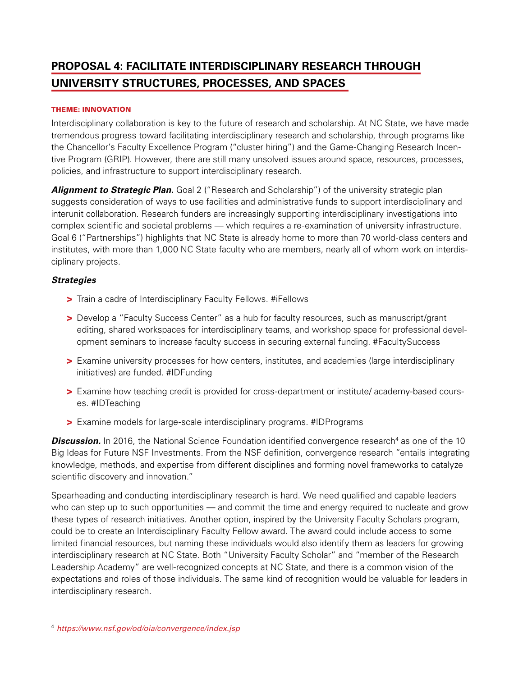# **PROPOSAL 4: FACILITATE INTERDISCIPLINARY RESEARCH THROUGH UNIVERSITY STRUCTURES, PROCESSES, AND SPACES**

#### THEME: INNOVATION

Interdisciplinary collaboration is key to the future of research and scholarship. At NC State, we have made tremendous progress toward facilitating interdisciplinary research and scholarship, through programs like the Chancellor's Faculty Excellence Program ("cluster hiring") and the Game-Changing Research Incentive Program (GRIP). However, there are still many unsolved issues around space, resources, processes, policies, and infrastructure to support interdisciplinary research.

**Alignment to Strategic Plan.** Goal 2 ("Research and Scholarship") of the university strategic plan suggests consideration of ways to use facilities and administrative funds to support interdisciplinary and interunit collaboration. Research funders are increasingly supporting interdisciplinary investigations into complex scientific and societal problems — which requires a re-examination of university infrastructure. Goal 6 ("Partnerships") highlights that NC State is already home to more than 70 world-class centers and institutes, with more than 1,000 NC State faculty who are members, nearly all of whom work on interdisciplinary projects.

#### *Strategies*

- > Train a cadre of Interdisciplinary Faculty Fellows. #iFellows
- > Develop a "Faculty Success Center" as a hub for faculty resources, such as manuscript/grant editing, shared workspaces for interdisciplinary teams, and workshop space for professional development seminars to increase faculty success in securing external funding. #FacultySuccess
- > Examine university processes for how centers, institutes, and academies (large interdisciplinary initiatives) are funded. #IDFunding
- > Examine how teaching credit is provided for cross-department or institute/ academy-based courses. #IDTeaching
- > Examine models for large-scale interdisciplinary programs. #IDPrograms

**Discussion.** In 2016, the National Science Foundation identified convergence research<sup>4</sup> as one of the 10 Big Ideas for Future NSF Investments. From the NSF definition, convergence research "entails integrating knowledge, methods, and expertise from different disciplines and forming novel frameworks to catalyze scientific discovery and innovation."

Spearheading and conducting interdisciplinary research is hard. We need qualified and capable leaders who can step up to such opportunities — and commit the time and energy required to nucleate and grow these types of research initiatives. Another option, inspired by the University Faculty Scholars program, could be to create an Interdisciplinary Faculty Fellow award. The award could include access to some limited financial resources, but naming these individuals would also identify them as leaders for growing interdisciplinary research at NC State. Both "University Faculty Scholar" and "member of the Research Leadership Academy" are well-recognized concepts at NC State, and there is a common vision of the expectations and roles of those individuals. The same kind of recognition would be valuable for leaders in interdisciplinary research.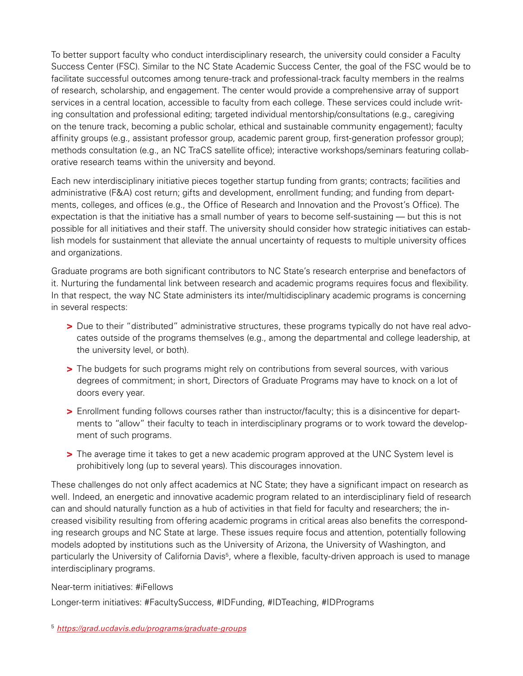To better support faculty who conduct interdisciplinary research, the university could consider a Faculty Success Center (FSC). Similar to the NC State Academic Success Center, the goal of the FSC would be to facilitate successful outcomes among tenure-track and professional-track faculty members in the realms of research, scholarship, and engagement. The center would provide a comprehensive array of support services in a central location, accessible to faculty from each college. These services could include writing consultation and professional editing; targeted individual mentorship/consultations (e.g., caregiving on the tenure track, becoming a public scholar, ethical and sustainable community engagement); faculty affinity groups (e.g., assistant professor group, academic parent group, first-generation professor group); methods consultation (e.g., an NC TraCS satellite office); interactive workshops/seminars featuring collaborative research teams within the university and beyond.

Each new interdisciplinary initiative pieces together startup funding from grants; contracts; facilities and administrative (F&A) cost return; gifts and development, enrollment funding; and funding from departments, colleges, and offices (e.g., the Office of Research and Innovation and the Provost's Office). The expectation is that the initiative has a small number of years to become self-sustaining — but this is not possible for all initiatives and their staff. The university should consider how strategic initiatives can establish models for sustainment that alleviate the annual uncertainty of requests to multiple university offices and organizations.

Graduate programs are both significant contributors to NC State's research enterprise and benefactors of it. Nurturing the fundamental link between research and academic programs requires focus and flexibility. In that respect, the way NC State administers its inter/multidisciplinary academic programs is concerning in several respects:

- > Due to their "distributed" administrative structures, these programs typically do not have real advocates outside of the programs themselves (e.g., among the departmental and college leadership, at the university level, or both).
- > The budgets for such programs might rely on contributions from several sources, with various degrees of commitment; in short, Directors of Graduate Programs may have to knock on a lot of doors every year.
- > Enrollment funding follows courses rather than instructor/faculty; this is a disincentive for departments to "allow" their faculty to teach in interdisciplinary programs or to work toward the development of such programs.
- > The average time it takes to get a new academic program approved at the UNC System level is prohibitively long (up to several years). This discourages innovation.

These challenges do not only affect academics at NC State; they have a significant impact on research as well. Indeed, an energetic and innovative academic program related to an interdisciplinary field of research can and should naturally function as a hub of activities in that field for faculty and researchers; the increased visibility resulting from offering academic programs in critical areas also benefits the corresponding research groups and NC State at large. These issues require focus and attention, potentially following models adopted by institutions such as the University of Arizona, the University of Washington, and particularly the University of California Davis5, where a flexible, faculty-driven approach is used to manage interdisciplinary programs.

Near-term initiatives: #iFellows

Longer-term initiatives: #FacultySuccess, #IDFunding, #IDTeaching, #IDPrograms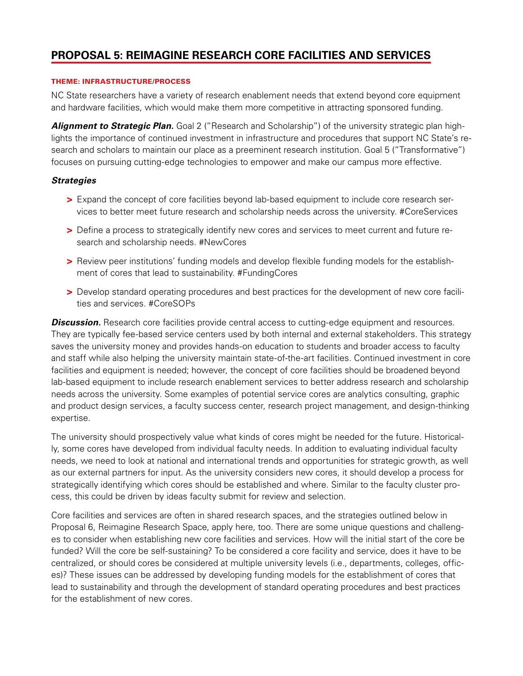# **PROPOSAL 5: REIMAGINE RESEARCH CORE FACILITIES AND SERVICES**

#### THEME: INFRASTRUCTURE/PROCESS

NC State researchers have a variety of research enablement needs that extend beyond core equipment and hardware facilities, which would make them more competitive in attracting sponsored funding.

*Alignment to Strategic Plan.* Goal 2 ("Research and Scholarship") of the university strategic plan highlights the importance of continued investment in infrastructure and procedures that support NC State's research and scholars to maintain our place as a preeminent research institution. Goal 5 ("Transformative") focuses on pursuing cutting-edge technologies to empower and make our campus more effective.

### *Strategies*

- > Expand the concept of core facilities beyond lab-based equipment to include core research services to better meet future research and scholarship needs across the university. #CoreServices
- > Define a process to strategically identify new cores and services to meet current and future research and scholarship needs. #NewCores
- > Review peer institutions' funding models and develop flexible funding models for the establishment of cores that lead to sustainability. #FundingCores
- > Develop standard operating procedures and best practices for the development of new core facilities and services. #CoreSOPs

**Discussion.** Research core facilities provide central access to cutting-edge equipment and resources. They are typically fee-based service centers used by both internal and external stakeholders. This strategy saves the university money and provides hands-on education to students and broader access to faculty and staff while also helping the university maintain state-of-the-art facilities. Continued investment in core facilities and equipment is needed; however, the concept of core facilities should be broadened beyond lab-based equipment to include research enablement services to better address research and scholarship needs across the university. Some examples of potential service cores are analytics consulting, graphic and product design services, a faculty success center, research project management, and design-thinking expertise.

The university should prospectively value what kinds of cores might be needed for the future. Historically, some cores have developed from individual faculty needs. In addition to evaluating individual faculty needs, we need to look at national and international trends and opportunities for strategic growth, as well as our external partners for input. As the university considers new cores, it should develop a process for strategically identifying which cores should be established and where. Similar to the faculty cluster process, this could be driven by ideas faculty submit for review and selection.

Core facilities and services are often in shared research spaces, and the strategies outlined below in Proposal 6, Reimagine Research Space, apply here, too. There are some unique questions and challenges to consider when establishing new core facilities and services. How will the initial start of the core be funded? Will the core be self-sustaining? To be considered a core facility and service, does it have to be centralized, or should cores be considered at multiple university levels (i.e., departments, colleges, offices)? These issues can be addressed by developing funding models for the establishment of cores that lead to sustainability and through the development of standard operating procedures and best practices for the establishment of new cores.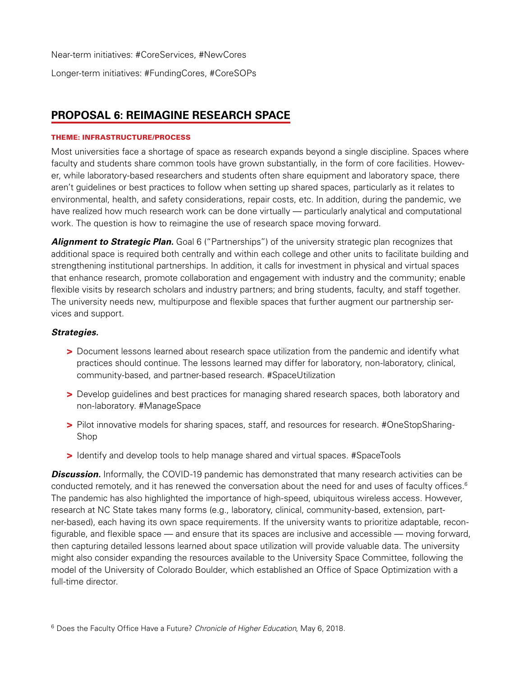Near-term initiatives: #CoreServices, #NewCores Longer-term initiatives: #FundingCores, #CoreSOPs

# **PROPOSAL 6: REIMAGINE RESEARCH SPACE**

### THEME: INFRASTRUCTURE/PROCESS

Most universities face a shortage of space as research expands beyond a single discipline. Spaces where faculty and students share common tools have grown substantially, in the form of core facilities. However, while laboratory-based researchers and students often share equipment and laboratory space, there aren't guidelines or best practices to follow when setting up shared spaces, particularly as it relates to environmental, health, and safety considerations, repair costs, etc. In addition, during the pandemic, we have realized how much research work can be done virtually — particularly analytical and computational work. The question is how to reimagine the use of research space moving forward.

Alignment to Strategic Plan. Goal 6 ("Partnerships") of the university strategic plan recognizes that additional space is required both centrally and within each college and other units to facilitate building and strengthening institutional partnerships. In addition, it calls for investment in physical and virtual spaces that enhance research, promote collaboration and engagement with industry and the community; enable flexible visits by research scholars and industry partners; and bring students, faculty, and staff together. The university needs new, multipurpose and flexible spaces that further augment our partnership services and support.

## *Strategies.*

- > Document lessons learned about research space utilization from the pandemic and identify what practices should continue. The lessons learned may differ for laboratory, non-laboratory, clinical, community-based, and partner-based research. #SpaceUtilization
- > Develop guidelines and best practices for managing shared research spaces, both laboratory and non-laboratory. #ManageSpace
- > Pilot innovative models for sharing spaces, staff, and resources for research. #OneStopSharing-Shop
- > Identify and develop tools to help manage shared and virtual spaces. #SpaceTools

**Discussion.** Informally, the COVID-19 pandemic has demonstrated that many research activities can be conducted remotely, and it has renewed the conversation about the need for and uses of faculty offices.<sup>6</sup> The pandemic has also highlighted the importance of high-speed, ubiquitous wireless access. However, research at NC State takes many forms (e.g., laboratory, clinical, community-based, extension, partner-based), each having its own space requirements. If the university wants to prioritize adaptable, reconfigurable, and flexible space — and ensure that its spaces are inclusive and accessible — moving forward, then capturing detailed lessons learned about space utilization will provide valuable data. The university might also consider expanding the resources available to the University Space Committee, following the model of the University of Colorado Boulder, which established an Office of Space Optimization with a full-time director.